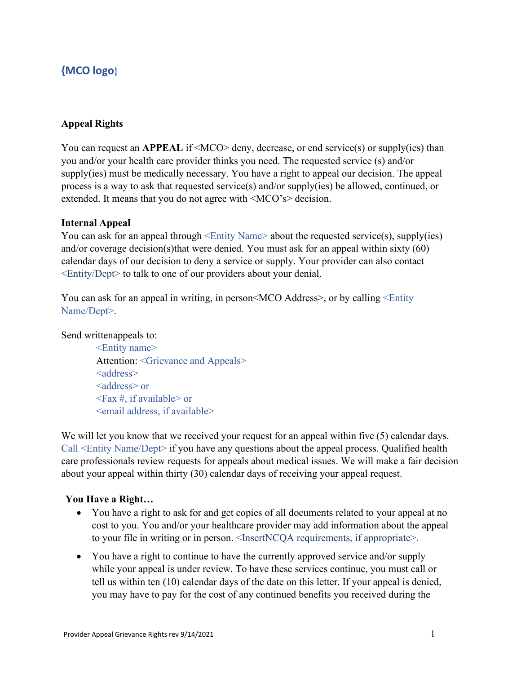# **{MCO logo}**

### **Appeal Rights**

You can request an **APPEAL** if <MCO> deny, decrease, or end service(s) or supply(ies) than you and/or your health care provider thinks you need. The requested service (s) and/or supply(ies) must be medically necessary. You have a right to appeal our decision. The appeal process is a way to ask that requested service(s) and/or supply(ies) be allowed, continued, or extended. It means that you do not agree with <MCO's> decision.

#### **Internal Appeal**

You can ask for an appeal through  $\leq$ Entity Name> about the requested service(s), supply(ies) and/or coverage decision(s)that were denied. You must ask for an appeal within sixty (60) calendar days of our decision to deny a service or supply. Your provider can also contact <Entity/Dept> to talk to one of our providers about your denial.

You can ask for an appeal in writing, in person  $MCO$  Address >, or by calling  $\leq$  Entity Name/Dept>.

Send writtenappeals to:

<Entity name> Attention: <Grievance and Appeals> <address> <address> or  $\langle$ Fax #, if available $>$  or <email address, if available>

We will let you know that we received your request for an appeal within five (5) calendar days. Call <Entity Name/Dept> if you have any questions about the appeal process. Qualified health care professionals review requests for appeals about medical issues. We will make a fair decision about your appeal within thirty (30) calendar days of receiving your appeal request.

#### **You Have a Right…**

- You have a right to ask for and get copies of all documents related to your appeal at no cost to you. You and/or your healthcare provider may add information about the appeal to your file in writing or in person. <InsertNCQA requirements, if appropriate>.
- You have a right to continue to have the currently approved service and/or supply while your appeal is under review. To have these services continue, you must call or tell us within ten (10) calendar days of the date on this letter. If your appeal is denied, you may have to pay for the cost of any continued benefits you received during the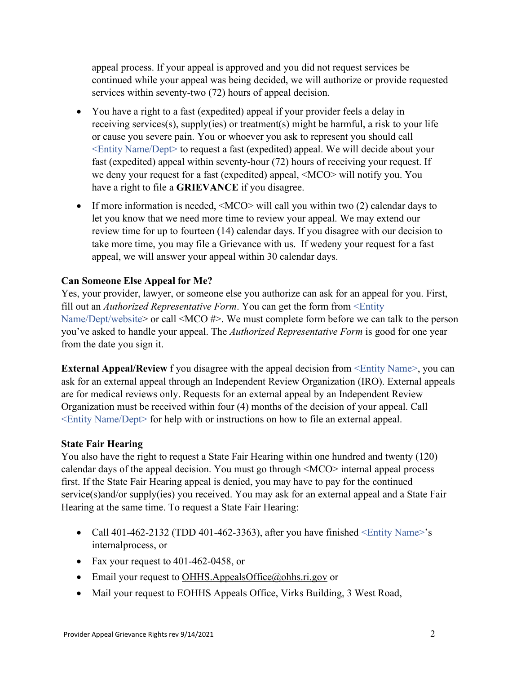appeal process. If your appeal is approved and you did not request services be continued while your appeal was being decided, we will authorize or provide requested services within seventy-two (72) hours of appeal decision.

- You have a right to a fast (expedited) appeal if your provider feels a delay in receiving services(s), supply(ies) or treatment(s) might be harmful, a risk to your life or cause you severe pain. You or whoever you ask to represent you should call <Entity Name/Dept> to request a fast (expedited) appeal. We will decide about your fast (expedited) appeal within seventy-hour (72) hours of receiving your request. If we deny your request for a fast (expedited) appeal, <MCO> will notify you. You have a right to file a **GRIEVANCE** if you disagree.
- If more information is needed, <MCO> will call you within two (2) calendar days to let you know that we need more time to review your appeal. We may extend our review time for up to fourteen (14) calendar days. If you disagree with our decision to take more time, you may file a Grievance with us. If wedeny your request for a fast appeal, we will answer your appeal within 30 calendar days.

# **Can Someone Else Appeal for Me?**

Yes, your provider, lawyer, or someone else you authorize can ask for an appeal for you. First, fill out an *Authorized Representative Form*. You can get the form from <Entity Name/Dept/website> or call <MCO #>. We must complete form before we can talk to the person you've asked to handle your appeal. The *Authorized Representative Form* is good for one year from the date you sign it.

**External Appeal/Review** f you disagree with the appeal decision from <Entity Name>, you can ask for an external appeal through an Independent Review Organization (IRO). External appeals are for medical reviews only. Requests for an external appeal by an Independent Review Organization must be received within four (4) months of the decision of your appeal. Call <Entity Name/Dept> for help with or instructions on how to file an external appeal.

# **State Fair Hearing**

You also have the right to request a State Fair Hearing within one hundred and twenty (120) calendar days of the appeal decision. You must go through <MCO> internal appeal process first. If the State Fair Hearing appeal is denied, you may have to pay for the continued service(s)and/or supply(ies) you received. You may ask for an external appeal and a State Fair Hearing at the same time. To request a State Fair Hearing:

- Call 401-462-2132 (TDD 401-462-3363), after you have finished  $\leq$  Entity Name>'s internalprocess, or
- Fax your request to 401-462-0458, or
- Email your request to [OHHS.AppealsOffice@ohhs.ri.gov](mailto:OHHS.AppealsOffice@ohhs.ri.gov) or
- Mail your request to EOHHS Appeals Office, Virks Building, 3 West Road,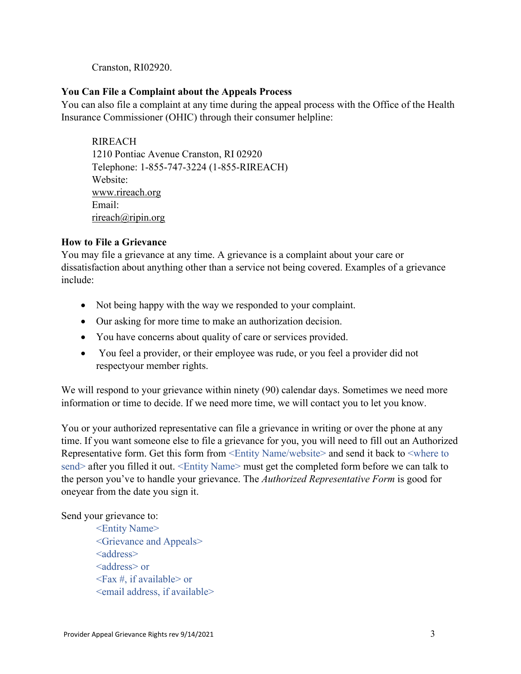Cranston, RI02920.

# **You Can File a Complaint about the Appeals Process**

You can also file a complaint at any time during the appeal process with the Office of the Health Insurance Commissioner (OHIC) through their consumer helpline:

RIREACH 1210 Pontiac Avenue Cranston, RI 02920 Telephone: 1-855-747-3224 (1-855-RIREACH) Website: [www.rireach.org](http://www.rireach.org/) Email: [rireach@ripin.org](mailto:rireach@ripin.org)

# **How to File a Grievance**

You may file a grievance at any time. A grievance is a complaint about your care or dissatisfaction about anything other than a service not being covered. Examples of a grievance include:

- Not being happy with the way we responded to your complaint.
- Our asking for more time to make an authorization decision.
- You have concerns about quality of care or services provided.
- You feel a provider, or their employee was rude, or you feel a provider did not respectyour member rights.

We will respond to your grievance within ninety (90) calendar days. Sometimes we need more information or time to decide. If we need more time, we will contact you to let you know.

You or your authorized representative can file a grievance in writing or over the phone at any time. If you want someone else to file a grievance for you, you will need to fill out an Authorized Representative form. Get this form from <Entity Name/website> and send it back to <where to send> after you filled it out. <Entity Name> must get the completed form before we can talk to the person you've to handle your grievance. The *Authorized Representative Form* is good for oneyear from the date you sign it.

# Send your grievance to:

<Entity Name> <Grievance and Appeals> <address> <address> or  $\langle$ Fax #, if available $>$  or <email address, if available>